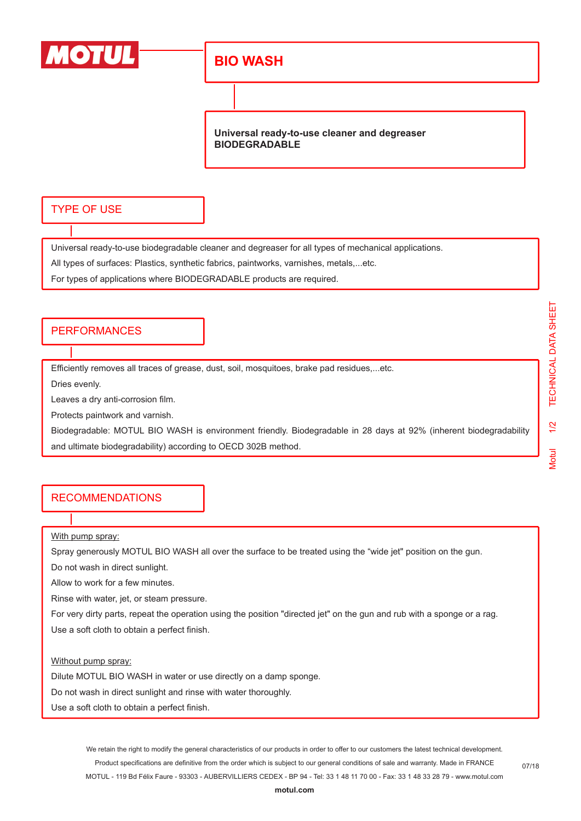

## **BIO WASH**

**Universal ready-to-use cleaner and degreaser BIODEGRADABLE**

### TYPE OF USE

Universal ready-to-use biodegradable cleaner and degreaser for all types of mechanical applications.

All types of surfaces: Plastics, synthetic fabrics, paintworks, varnishes, metals,...etc.

For types of applications where BIODEGRADABLE products are required.

#### **PERFORMANCES**

Efficiently removes all traces of grease, dust, soil, mosquitoes, brake pad residues,...etc.

Dries evenly.

Leaves a dry anti-corrosion film.

Protects paintwork and varnish.

Biodegradable: MOTUL BIO WASH is environment friendly. Biodegradable in 28 days at 92% (inherent biodegradability and ultimate biodegradability) according to OECD 302B method.

#### RECOMMENDATIONS

With pump spray:

Spray generously MOTUL BIO WASH all over the surface to be treated using the "wide jet" position on the gun.

Do not wash in direct sunlight.

Allow to work for a few minutes.

Rinse with water, jet, or steam pressure.

For very dirty parts, repeat the operation using the position "directed jet" on the gun and rub with a sponge or a rag.

Use a soft cloth to obtain a perfect finish.

Without pump spray:

Dilute MOTUL BIO WASH in water or use directly on a damp sponge.

Do not wash in direct sunlight and rinse with water thoroughly.

Use a soft cloth to obtain a perfect finish.

We retain the right to modify the general characteristics of our products in order to offer to our customers the latest technical development. Product specifications are definitive from the order which is subject to our general conditions of sale and warranty. Made in FRANCE MOTUL - 119 Bd Félix Faure - 93303 - AUBERVILLIERS CEDEX - BP 94 - Tel: 33 1 48 11 70 00 - Fax: 33 1 48 33 28 79 - www.motul.com

07/18